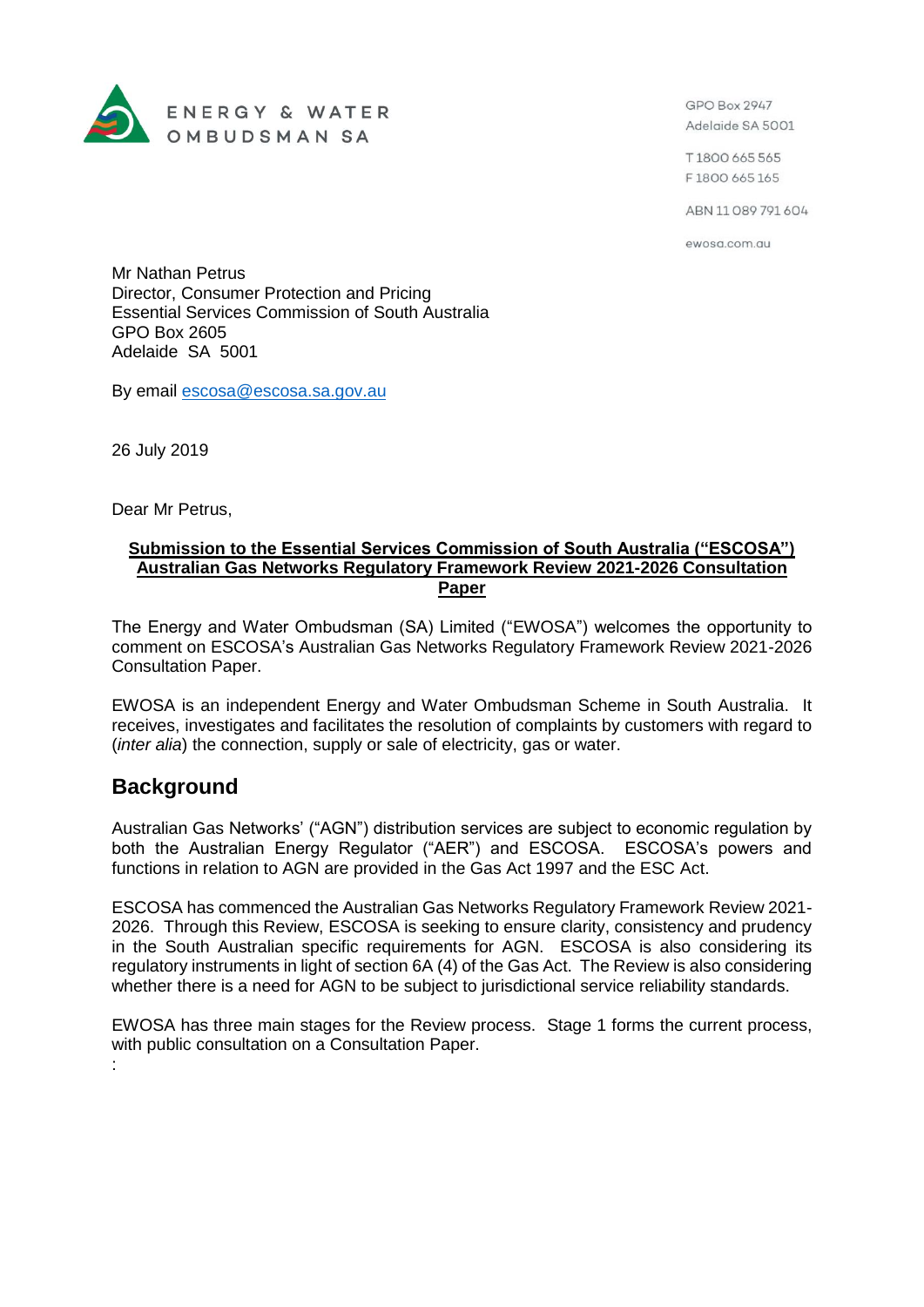

GPO Box 2947 Adelaide SA 5001

T1800 665 565 F1800 665 165

ABN 11 089 791 604

ewosa.com.au

Mr Nathan Petrus Director, Consumer Protection and Pricing Essential Services Commission of South Australia GPO Box 2605 Adelaide SA 5001

By email [escosa@escosa.sa.gov.au](mailto:escosa@escosa.sa.gov.au)

26 July 2019

Dear Mr Petrus,

#### **Submission to the Essential Services Commission of South Australia ("ESCOSA") Australian Gas Networks Regulatory Framework Review 2021-2026 Consultation Paper**

The Energy and Water Ombudsman (SA) Limited ("EWOSA") welcomes the opportunity to comment on ESCOSA's Australian Gas Networks Regulatory Framework Review 2021-2026 Consultation Paper.

EWOSA is an independent Energy and Water Ombudsman Scheme in South Australia. It receives, investigates and facilitates the resolution of complaints by customers with regard to (*inter alia*) the connection, supply or sale of electricity, gas or water.

## **Background**

:

Australian Gas Networks' ("AGN") distribution services are subject to economic regulation by both the Australian Energy Regulator ("AER") and ESCOSA. ESCOSA's powers and functions in relation to AGN are provided in the Gas Act 1997 and the ESC Act.

ESCOSA has commenced the Australian Gas Networks Regulatory Framework Review 2021- 2026. Through this Review, ESCOSA is seeking to ensure clarity, consistency and prudency in the South Australian specific requirements for AGN. ESCOSA is also considering its regulatory instruments in light of section 6A (4) of the Gas Act. The Review is also considering whether there is a need for AGN to be subject to jurisdictional service reliability standards.

EWOSA has three main stages for the Review process. Stage 1 forms the current process, with public consultation on a Consultation Paper.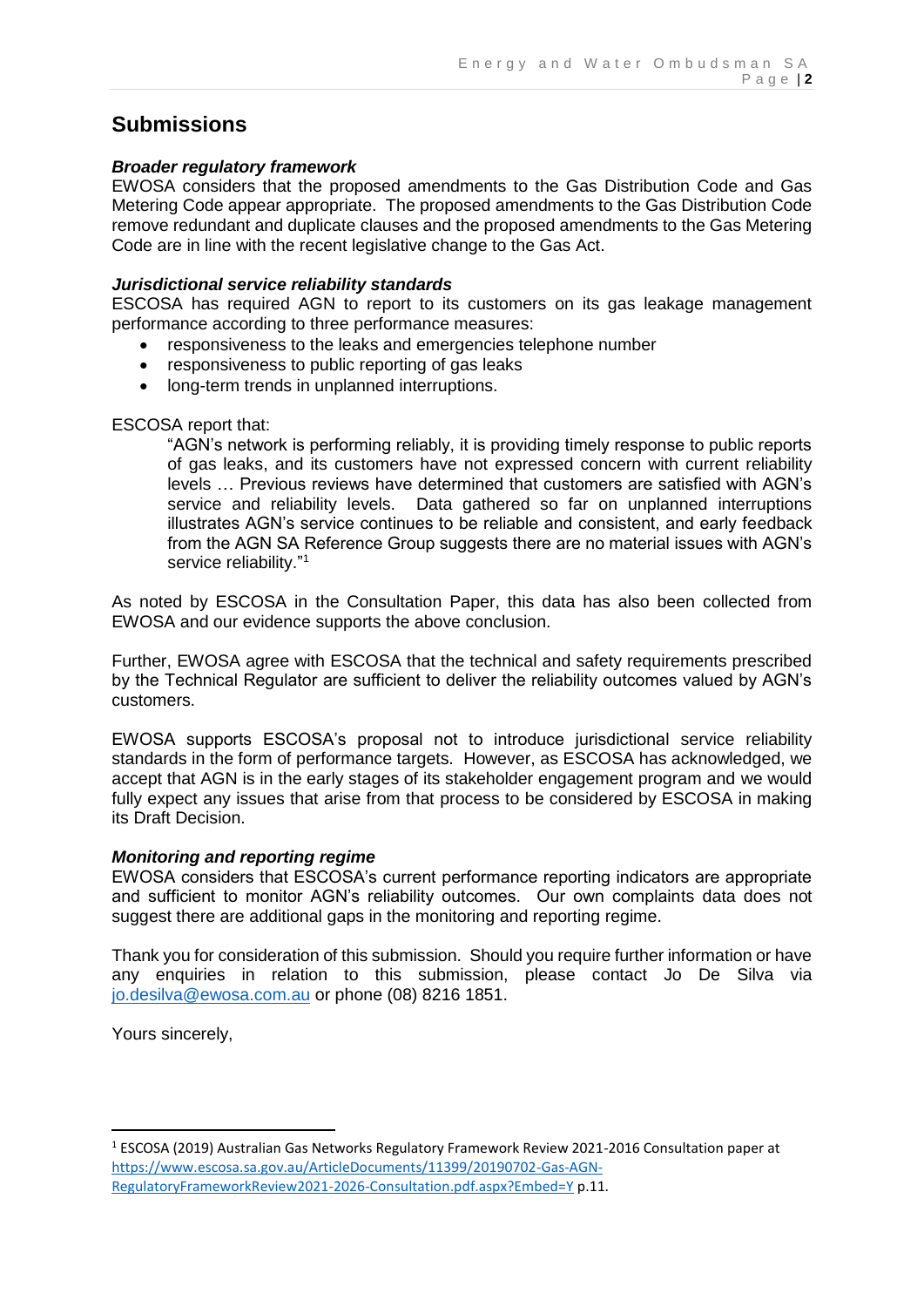# **Submissions**

### *Broader regulatory framework*

EWOSA considers that the proposed amendments to the Gas Distribution Code and Gas Metering Code appear appropriate. The proposed amendments to the Gas Distribution Code remove redundant and duplicate clauses and the proposed amendments to the Gas Metering Code are in line with the recent legislative change to the Gas Act.

### *Jurisdictional service reliability standards*

ESCOSA has required AGN to report to its customers on its gas leakage management performance according to three performance measures:

- responsiveness to the leaks and emergencies telephone number
- responsiveness to public reporting of gas leaks
- long-term trends in unplanned interruptions.

### ESCOSA report that:

"AGN's network is performing reliably, it is providing timely response to public reports of gas leaks, and its customers have not expressed concern with current reliability levels … Previous reviews have determined that customers are satisfied with AGN's service and reliability levels. Data gathered so far on unplanned interruptions illustrates AGN's service continues to be reliable and consistent, and early feedback from the AGN SA Reference Group suggests there are no material issues with AGN's service reliability."<sup>1</sup>

As noted by ESCOSA in the Consultation Paper, this data has also been collected from EWOSA and our evidence supports the above conclusion.

Further, EWOSA agree with ESCOSA that the technical and safety requirements prescribed by the Technical Regulator are sufficient to deliver the reliability outcomes valued by AGN's customers.

EWOSA supports ESCOSA's proposal not to introduce jurisdictional service reliability standards in the form of performance targets. However, as ESCOSA has acknowledged, we accept that AGN is in the early stages of its stakeholder engagement program and we would fully expect any issues that arise from that process to be considered by ESCOSA in making its Draft Decision.

#### *Monitoring and reporting regime*

EWOSA considers that ESCOSA's current performance reporting indicators are appropriate and sufficient to monitor AGN's reliability outcomes. Our own complaints data does not suggest there are additional gaps in the monitoring and reporting regime.

Thank you for consideration of this submission. Should you require further information or have any enquiries in relation to this submission, please contact Jo De Silva via [jo.desilva@ewosa.com.au](mailto:jo.desilva@ewosa.com.au) or phone (08) 8216 1851.

Yours sincerely,

**.** 

<sup>1</sup> ESCOSA (2019) Australian Gas Networks Regulatory Framework Review 2021-2016 Consultation paper at [https://www.escosa.sa.gov.au/ArticleDocuments/11399/20190702-Gas-AGN-](https://www.escosa.sa.gov.au/ArticleDocuments/11399/20190702-Gas-AGN-RegulatoryFrameworkReview2021-2026-Consultation.pdf.aspx?Embed=Y)[RegulatoryFrameworkReview2021-2026-Consultation.pdf.aspx?Embed=Y](https://www.escosa.sa.gov.au/ArticleDocuments/11399/20190702-Gas-AGN-RegulatoryFrameworkReview2021-2026-Consultation.pdf.aspx?Embed=Y) p.11.